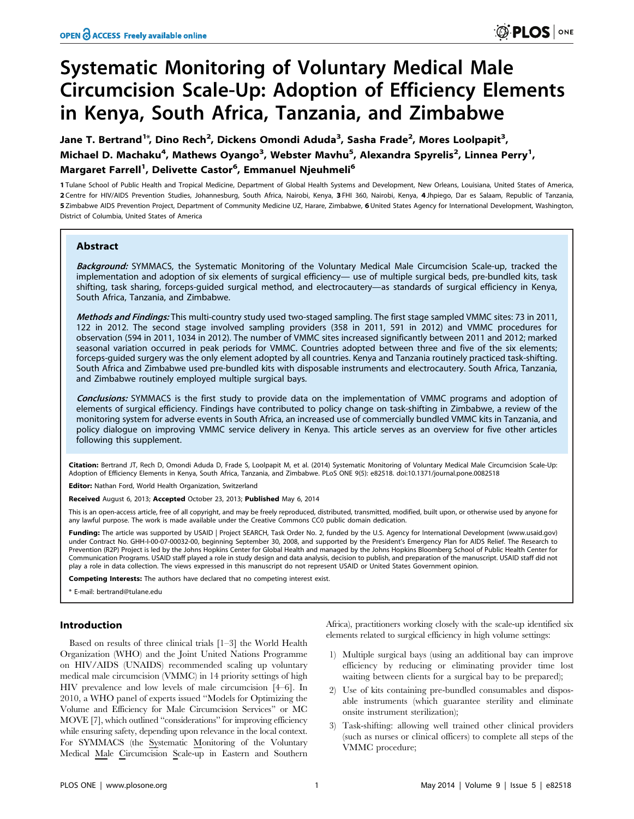# Systematic Monitoring of Voluntary Medical Male Circumcision Scale-Up: Adoption of Efficiency Elements in Kenya, South Africa, Tanzania, and Zimbabwe

Michael D. Machaku<sup>4</sup>, Mathews Oyango<sup>3</sup>, Webster Mavhu<sup>5</sup>, Alexandra Spyrelis<sup>2</sup>, Linnea Perry<sup>1</sup>, Margaret Farrell<sup>1</sup>, Delivette Castor<sup>6</sup>, Emmanuel Njeuhmeli<sup>6</sup> Jane T. Bertrand<sup>1\*</sup>, Dino Rech<sup>2</sup>, Dickens Omondi Aduda<sup>3</sup>, Sasha Frade<sup>2</sup>, Mores Loolpapit<sup>3</sup>,

1 Tulane School of Public Health and Tropical Medicine, Department of Global Health Systems and Development, New Orleans, Louisiana, United States of America, 2 Centre for HIV/AIDS Prevention Studies, Johannesburg, South Africa, Nairobi, Kenya, 3 FHI 360, Nairobi, Kenya, 4 Jhpiego, Dar es Salaam, Republic of Tanzania, 5 Zimbabwe AIDS Prevention Project, Department of Community Medicine UZ, Harare, Zimbabwe, 6 United States Agency for International Development, Washington, District of Columbia, United States of America

### Abstract

Background: SYMMACS, the Systematic Monitoring of the Voluntary Medical Male Circumcision Scale-up, tracked the implementation and adoption of six elements of surgical efficiency— use of multiple surgical beds, pre-bundled kits, task shifting, task sharing, forceps-guided surgical method, and electrocautery—as standards of surgical efficiency in Kenya, South Africa, Tanzania, and Zimbabwe.

Methods and Findings: This multi-country study used two-staged sampling. The first stage sampled VMMC sites: 73 in 2011, 122 in 2012. The second stage involved sampling providers (358 in 2011, 591 in 2012) and VMMC procedures for observation (594 in 2011, 1034 in 2012). The number of VMMC sites increased significantly between 2011 and 2012; marked seasonal variation occurred in peak periods for VMMC. Countries adopted between three and five of the six elements; forceps-guided surgery was the only element adopted by all countries. Kenya and Tanzania routinely practiced task-shifting. South Africa and Zimbabwe used pre-bundled kits with disposable instruments and electrocautery. South Africa, Tanzania, and Zimbabwe routinely employed multiple surgical bays.

Conclusions: SYMMACS is the first study to provide data on the implementation of VMMC programs and adoption of elements of surgical efficiency. Findings have contributed to policy change on task-shifting in Zimbabwe, a review of the monitoring system for adverse events in South Africa, an increased use of commercially bundled VMMC kits in Tanzania, and policy dialogue on improving VMMC service delivery in Kenya. This article serves as an overview for five other articles following this supplement.

Citation: Bertrand JT, Rech D, Omondi Aduda D, Frade S, Loolpapit M, et al. (2014) Systematic Monitoring of Voluntary Medical Male Circumcision Scale-Up: Adoption of Efficiency Elements in Kenya, South Africa, Tanzania, and Zimbabwe. PLoS ONE 9(5): e82518. doi:10.1371/journal.pone.0082518

Editor: Nathan Ford, World Health Organization, Switzerland

Received August 6, 2013; Accepted October 23, 2013; Published May 6, 2014

This is an open-access article, free of all copyright, and may be freely reproduced, distributed, transmitted, modified, built upon, or otherwise used by anyone for any lawful purpose. The work is made available under the Creative Commons CC0 public domain dedication.

Funding: The article was supported by USAID | Project SEARCH, Task Order No. 2, funded by the U.S. Agency for International Development (www.usaid.gov) under Contract No. GHH-I-00-07-00032-00, beginning September 30, 2008, and supported by the President's Emergency Plan for AIDS Relief. The Research to Prevention (R2P) Project is led by the Johns Hopkins Center for Global Health and managed by the Johns Hopkins Bloomberg School of Public Health Center for Communication Programs. USAID staff played a role in study design and data analysis, decision to publish, and preparation of the manuscript. USAID staff did not play a role in data collection. The views expressed in this manuscript do not represent USAID or United States Government opinion.

Competing Interests: The authors have declared that no competing interest exist.

\* E-mail: bertrand@tulane.edu

### Introduction

Based on results of three clinical trials [1–3] the World Health Organization (WHO) and the Joint United Nations Programme on HIV/AIDS (UNAIDS) recommended scaling up voluntary medical male circumcision (VMMC) in 14 priority settings of high HIV prevalence and low levels of male circumcision [4–6]. In 2010, a WHO panel of experts issued ''Models for Optimizing the Volume and Efficiency for Male Circumcision Services'' or MC MOVE [7], which outlined ''considerations'' for improving efficiency while ensuring safety, depending upon relevance in the local context. For SYMMACS (the Systematic Monitoring of the Voluntary Medical Male Circumcision Scale-up in Eastern and Southern Africa), practitioners working closely with the scale-up identified six elements related to surgical efficiency in high volume settings:

- 1) Multiple surgical bays (using an additional bay can improve efficiency by reducing or eliminating provider time lost waiting between clients for a surgical bay to be prepared);
- 2) Use of kits containing pre-bundled consumables and disposable instruments (which guarantee sterility and eliminate onsite instrument sterilization);
- 3) Task-shifting: allowing well trained other clinical providers (such as nurses or clinical officers) to complete all steps of the VMMC procedure;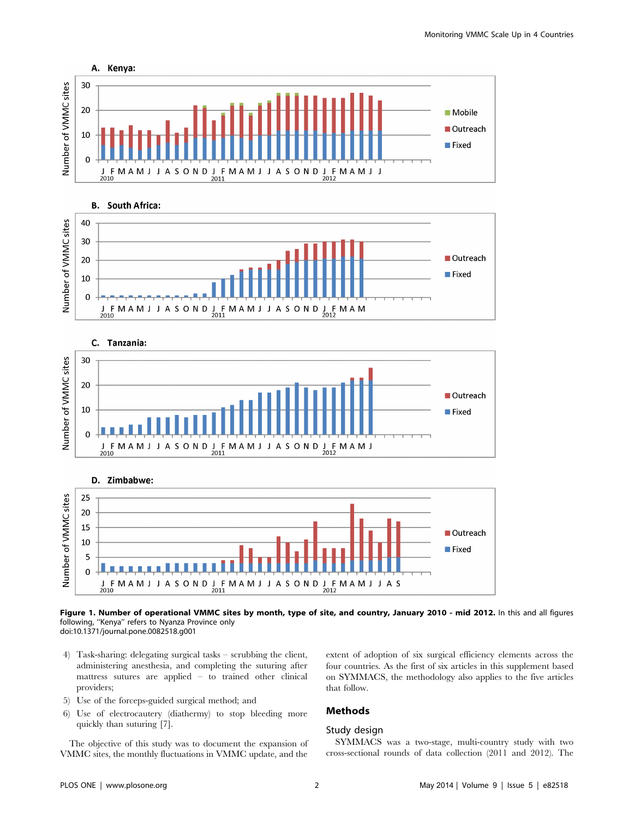







### Figure 1. Number of operational VMMC sites by month, type of site, and country, January 2010 - mid 2012. In this and all figures following, ''Kenya'' refers to Nyanza Province only doi:10.1371/journal.pone.0082518.g001

- 4) Task-sharing: delegating surgical tasks scrubbing the client, administering anesthesia, and completing the suturing after mattress sutures are applied – to trained other clinical providers;
- 5) Use of the forceps-guided surgical method; and
- 6) Use of electrocautery (diathermy) to stop bleeding more quickly than suturing [7].

The objective of this study was to document the expansion of VMMC sites, the monthly fluctuations in VMMC update, and the extent of adoption of six surgical efficiency elements across the four countries. As the first of six articles in this supplement based on SYMMACS, the methodology also applies to the five articles that follow.

# Methods

### Study design

SYMMACS was a two-stage, multi-country study with two cross-sectional rounds of data collection (2011 and 2012). The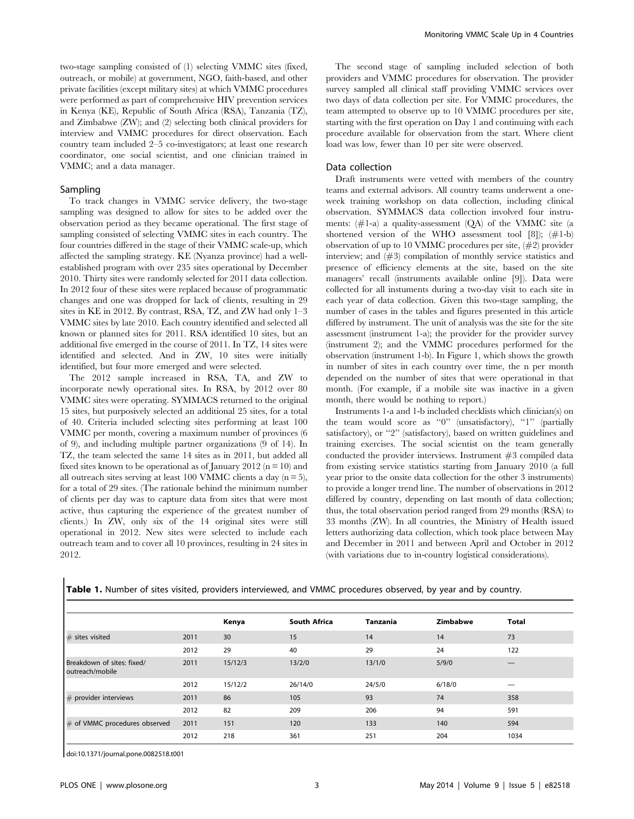two-stage sampling consisted of (1) selecting VMMC sites (fixed, outreach, or mobile) at government, NGO, faith-based, and other private facilities (except military sites) at which VMMC procedures were performed as part of comprehensive HIV prevention services in Kenya (KE), Republic of South Africa (RSA), Tanzania (TZ), and Zimbabwe (ZW); and (2) selecting both clinical providers for interview and VMMC procedures for direct observation. Each country team included 2–5 co-investigators; at least one research coordinator, one social scientist, and one clinician trained in VMMC; and a data manager.

### Sampling

To track changes in VMMC service delivery, the two-stage sampling was designed to allow for sites to be added over the observation period as they became operational. The first stage of sampling consisted of selecting VMMC sites in each country. The four countries differed in the stage of their VMMC scale-up, which affected the sampling strategy. KE (Nyanza province) had a wellestablished program with over 235 sites operational by December 2010. Thirty sites were randomly selected for 2011 data collection. In 2012 four of these sites were replaced because of programmatic changes and one was dropped for lack of clients, resulting in 29 sites in KE in 2012. By contrast, RSA, TZ, and ZW had only 1–3 VMMC sites by late 2010. Each country identified and selected all known or planned sites for 2011. RSA identified 10 sites, but an additional five emerged in the course of 2011. In TZ, 14 sites were identified and selected. And in ZW, 10 sites were initially identified, but four more emerged and were selected.

The 2012 sample increased in RSA, TA, and ZW to incorporate newly operational sites. In RSA, by 2012 over 80 VMMC sites were operating. SYMMACS returned to the original 15 sites, but purposively selected an additional 25 sites, for a total of 40. Criteria included selecting sites performing at least 100 VMMC per month, covering a maximum number of provinces (6 of 9), and including multiple partner organizations (9 of 14). In TZ, the team selected the same 14 sites as in 2011, but added all fixed sites known to be operational as of January 2012 ( $n = 10$ ) and all outreach sites serving at least 100 VMMC clients a day  $(n = 5)$ , for a total of 29 sites. (The rationale behind the minimum number of clients per day was to capture data from sites that were most active, thus capturing the experience of the greatest number of clients.) In ZW, only six of the 14 original sites were still operational in 2012. New sites were selected to include each outreach team and to cover all 10 provinces, resulting in 24 sites in 2012.

The second stage of sampling included selection of both providers and VMMC procedures for observation. The provider survey sampled all clinical staff providing VMMC services over two days of data collection per site. For VMMC procedures, the team attempted to observe up to 10 VMMC procedures per site, starting with the first operation on Day 1 and continuing with each procedure available for observation from the start. Where client load was low, fewer than 10 per site were observed.

#### Data collection

Draft instruments were vetted with members of the country teams and external advisors. All country teams underwent a oneweek training workshop on data collection, including clinical observation. SYMMACS data collection involved four instruments:  $(\#1-a)$  a quality-assessment  $(QA)$  of the VMMC site (a shortened version of the WHO assessment tool [8]);  $(\#1-b)$ observation of up to 10 VMMC procedures per site, (#2) provider interview; and (#3) compilation of monthly service statistics and presence of efficiency elements at the site, based on the site managers' recall (instruments available online [9]). Data were collected for all instuments during a two-day visit to each site in each year of data collection. Given this two-stage sampling, the number of cases in the tables and figures presented in this article differed by instrument. The unit of analysis was the site for the site assessment (instrument 1-a); the provider for the provider survey (instrument 2); and the VMMC procedures performed for the observation (instrument 1-b). In Figure 1, which shows the growth in number of sites in each country over time, the n per month depended on the number of sites that were operational in that month. (For example, if a mobile site was inactive in a given month, there would be nothing to report.)

Instruments 1-a and 1-b included checklists which clinician(s) on the team would score as ''0'' (unsatisfactory), ''1'' (partially satisfactory), or "2" (satisfactory), based on written guidelines and training exercises. The social scientist on the team generally conducted the provider interviews. Instrument #3 compiled data from existing service statistics starting from January 2010 (a full year prior to the onsite data collection for the other 3 instruments) to provide a longer trend line. The number of observations in 2012 differed by country, depending on last month of data collection; thus, the total observation period ranged from 29 months (RSA) to 33 months (ZW). In all countries, the Ministry of Health issued letters authorizing data collection, which took place between May and December in 2011 and between April and October in 2012 (with variations due to in-country logistical considerations).

|                                               |      | Kenya   | <b>South Africa</b> | <b>Tanzania</b> | Zimbabwe | <b>Total</b> |  |
|-----------------------------------------------|------|---------|---------------------|-----------------|----------|--------------|--|
| $#$ sites visited                             | 2011 | 30      | 15                  | 14              | 14       | 73           |  |
|                                               | 2012 | 29      | 40                  | 29              | 24       | 122          |  |
| Breakdown of sites: fixed/<br>outreach/mobile | 2011 | 15/12/3 | 13/2/0              | 13/1/0          | 5/9/0    |              |  |
|                                               | 2012 | 15/12/2 | 26/14/0             | 24/5/0          | 6/18/0   |              |  |
| # provider interviews                         | 2011 | 86      | 105                 | 93              | 74       | 358          |  |
|                                               | 2012 | 82      | 209                 | 206             | 94       | 591          |  |
| # of VMMC procedures observed                 | 2011 | 151     | 120                 | 133             | 140      | 594          |  |
|                                               | 2012 | 218     | 361                 | 251             | 204      | 1034         |  |

Table 1. Number of sites visited, providers interviewed, and VMMC procedures observed, by year and by country.

doi:10.1371/journal.pone.0082518.t001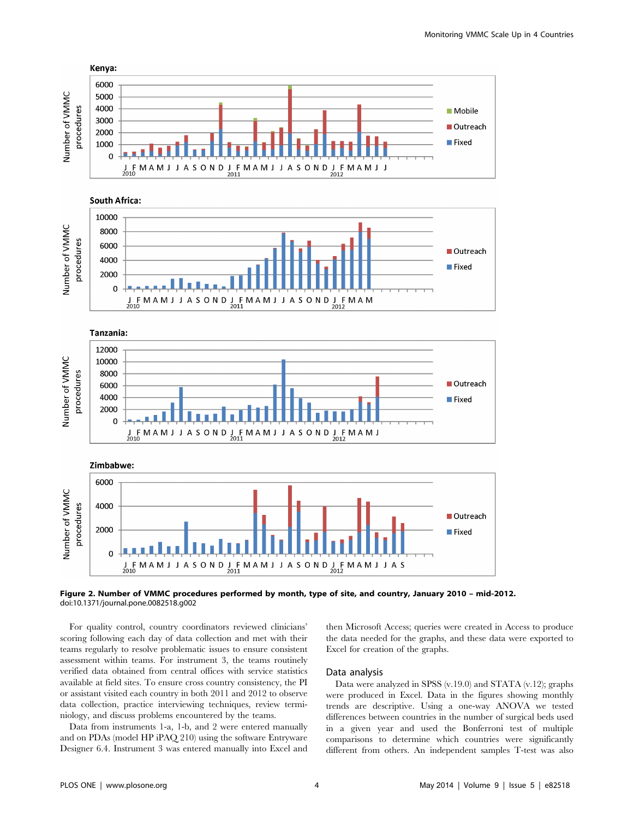







Figure 2. Number of VMMC procedures performed by month, type of site, and country, January 2010 – mid-2012. doi:10.1371/journal.pone.0082518.g002

For quality control, country coordinators reviewed clinicians' scoring following each day of data collection and met with their teams regularly to resolve problematic issues to ensure consistent assessment within teams. For instrument 3, the teams routinely verified data obtained from central offices with service statistics available at field sites. To ensure cross country consistency, the PI or assistant visited each country in both 2011 and 2012 to observe data collection, practice interviewing techniques, review terminiology, and discuss problems encountered by the teams.

Data from instruments 1-a, 1-b, and 2 were entered manually and on PDAs (model HP iPAQ 210) using the software Entryware Designer 6.4. Instrument 3 was entered manually into Excel and then Microsoft Access; queries were created in Access to produce the data needed for the graphs, and these data were exported to Excel for creation of the graphs.

### Data analysis

Data were analyzed in SPSS (v.19.0) and STATA (v.12); graphs were produced in Excel. Data in the figures showing monthly trends are descriptive. Using a one-way ANOVA we tested differences between countries in the number of surgical beds used in a given year and used the Bonferroni test of multiple comparisons to determine which countries were significantly different from others. An independent samples T-test was also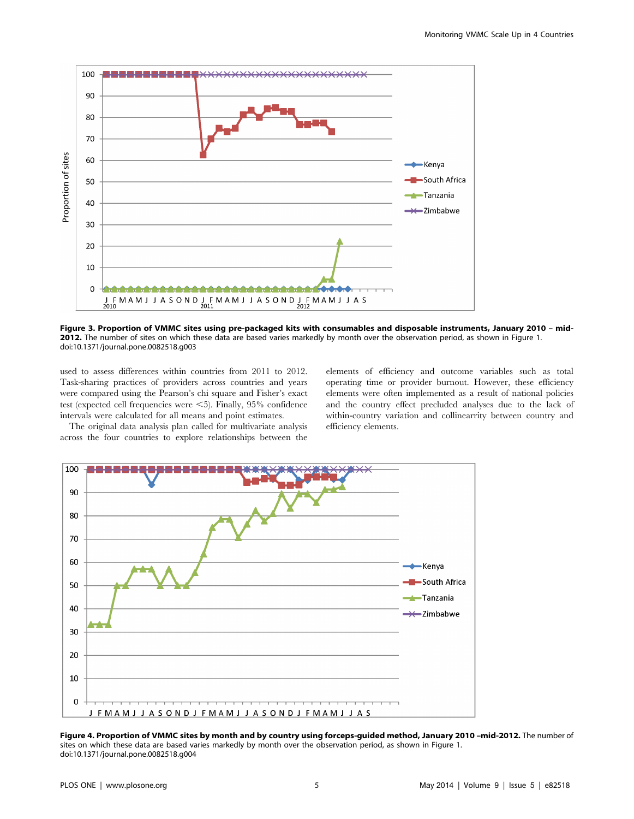

Figure 3. Proportion of VMMC sites using pre-packaged kits with consumables and disposable instruments, January 2010 – mid-2012. The number of sites on which these data are based varies markedly by month over the observation period, as shown in Figure 1. doi:10.1371/journal.pone.0082518.g003

used to assess differences within countries from 2011 to 2012. Task-sharing practices of providers across countries and years were compared using the Pearson's chi square and Fisher's exact test (expected cell frequencies were  $\leq$ 5). Finally, 95% confidence intervals were calculated for all means and point estimates.

The original data analysis plan called for multivariate analysis across the four countries to explore relationships between the

elements of efficiency and outcome variables such as total operating time or provider burnout. However, these efficiency elements were often implemented as a result of national policies and the country effect precluded analyses due to the lack of within-country variation and collinearrity between country and efficiency elements.



Figure 4. Proportion of VMMC sites by month and by country using forceps-guided method, January 2010 -mid-2012. The number of sites on which these data are based varies markedly by month over the observation period, as shown in Figure 1. doi:10.1371/journal.pone.0082518.g004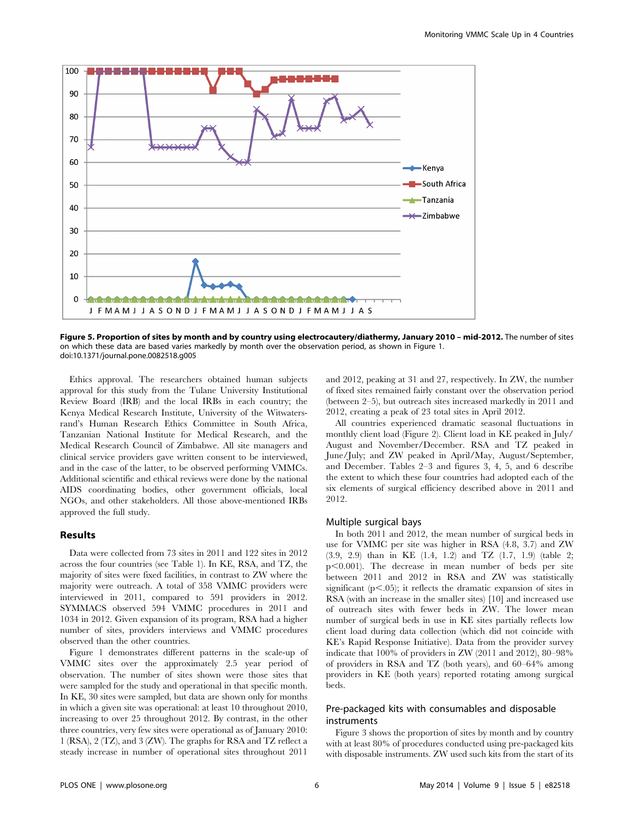

Figure 5. Proportion of sites by month and by country using electrocautery/diathermy, January 2010 - mid-2012. The number of sites on which these data are based varies markedly by month over the observation period, as shown in Figure 1. doi:10.1371/journal.pone.0082518.g005

Ethics approval. The researchers obtained human subjects approval for this study from the Tulane University Institutional Review Board (IRB) and the local IRBs in each country; the Kenya Medical Research Institute, University of the Witwatersrand's Human Research Ethics Committee in South Africa, Tanzanian National Institute for Medical Research, and the Medical Research Council of Zimbabwe. All site managers and clinical service providers gave written consent to be interviewed, and in the case of the latter, to be observed performing VMMCs. Additional scientific and ethical reviews were done by the national AIDS coordinating bodies, other government officials, local NGOs, and other stakeholders. All those above-mentioned IRBs approved the full study.

### Results

Data were collected from 73 sites in 2011 and 122 sites in 2012 across the four countries (see Table 1). In KE, RSA, and TZ, the majority of sites were fixed facilities, in contrast to ZW where the majority were outreach. A total of 358 VMMC providers were interviewed in 2011, compared to 591 providers in 2012. SYMMACS observed 594 VMMC procedures in 2011 and 1034 in 2012. Given expansion of its program, RSA had a higher number of sites, providers interviews and VMMC procedures observed than the other countries.

Figure 1 demonstrates different patterns in the scale-up of VMMC sites over the approximately 2.5 year period of observation. The number of sites shown were those sites that were sampled for the study and operational in that specific month. In KE, 30 sites were sampled, but data are shown only for months in which a given site was operational: at least 10 throughout 2010, increasing to over 25 throughout 2012. By contrast, in the other three countries, very few sites were operational as of January 2010: 1 (RSA), 2 (TZ), and 3 (ZW). The graphs for RSA and TZ reflect a steady increase in number of operational sites throughout 2011

and 2012, peaking at 31 and 27, respectively. In ZW, the number of fixed sites remained fairly constant over the observation period (between 2–5), but outreach sites increased markedly in 2011 and 2012, creating a peak of 23 total sites in April 2012.

All countries experienced dramatic seasonal fluctuations in monthly client load (Figure 2). Client load in KE peaked in July/ August and November/December. RSA and TZ peaked in June/July; and ZW peaked in April/May, August/September, and December. Tables 2–3 and figures 3, 4, 5, and 6 describe the extent to which these four countries had adopted each of the six elements of surgical efficiency described above in 2011 and 2012.

#### Multiple surgical bays

In both 2011 and 2012, the mean number of surgical beds in use for VMMC per site was higher in RSA (4.8, 3.7) and ZW (3.9, 2.9) than in KE (1.4, 1.2) and TZ (1.7, 1.9) (table 2;  $p<0.001$ ). The decrease in mean number of beds per site between 2011 and 2012 in RSA and ZW was statistically significant  $(p<.05)$ ; it reflects the dramatic expansion of sites in RSA (with an increase in the smaller sites) [10] and increased use of outreach sites with fewer beds in ZW. The lower mean number of surgical beds in use in KE sites partially reflects low client load during data collection (which did not coincide with KE's Rapid Response Initiative). Data from the provider survey indicate that 100% of providers in ZW (2011 and 2012), 80–98% of providers in RSA and TZ (both years), and 60–64% among providers in KE (both years) reported rotating among surgical beds.

### Pre-packaged kits with consumables and disposable instruments

Figure 3 shows the proportion of sites by month and by country with at least 80% of procedures conducted using pre-packaged kits with disposable instruments. ZW used such kits from the start of its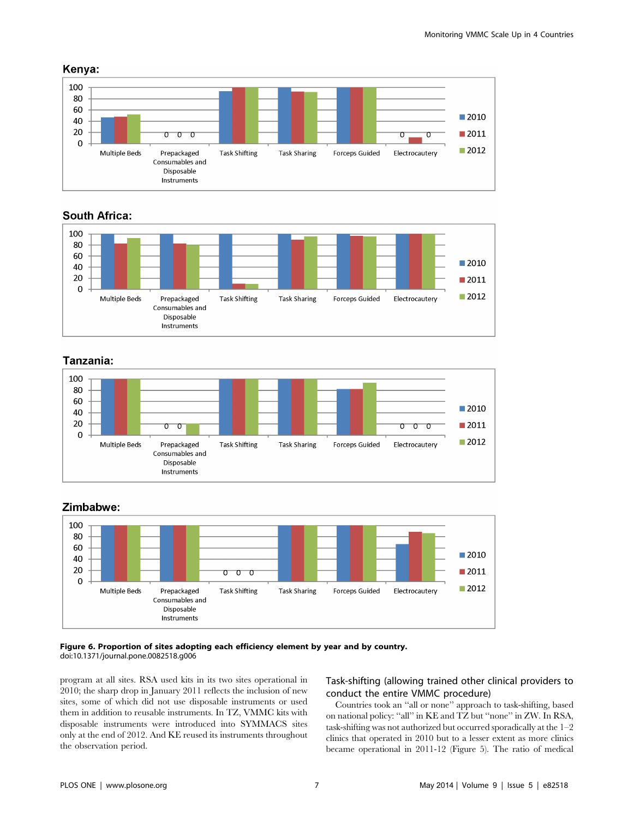

# **South Africa:**



# Tanzania:



# Zimbabwe:



### Figure 6. Proportion of sites adopting each efficiency element by year and by country. doi:10.1371/journal.pone.0082518.g006

program at all sites. RSA used kits in its two sites operational in 2010; the sharp drop in January 2011 reflects the inclusion of new sites, some of which did not use disposable instruments or used them in addition to reusable instruments. In TZ, VMMC kits with disposable instruments were introduced into SYMMACS sites only at the end of 2012. And KE reused its instruments throughout the observation period.

# Task-shifting (allowing trained other clinical providers to conduct the entire VMMC procedure)

Countries took an ''all or none'' approach to task-shifting, based on national policy: ''all'' in KE and TZ but ''none'' in ZW. In RSA, task-shifting was not authorized but occurred sporadically at the 1–2 clinics that operated in 2010 but to a lesser extent as more clinics became operational in 2011-12 (Figure 5). The ratio of medical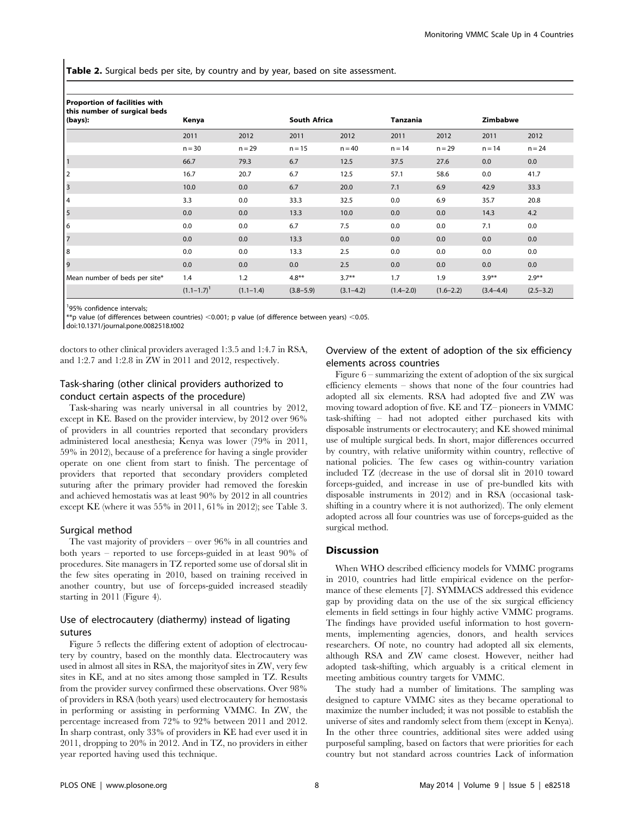Table 2. Surgical beds per site, by country and by year, based on site assessment.

| Proportion of facilities with<br>this number of surgical beds |                   |               |                     |               |               |               |                 |               |
|---------------------------------------------------------------|-------------------|---------------|---------------------|---------------|---------------|---------------|-----------------|---------------|
| (bays):                                                       | Kenya             |               | <b>South Africa</b> |               | Tanzania      |               | <b>Zimbabwe</b> |               |
|                                                               | 2011              | 2012          | 2011                | 2012          | 2011          | 2012          | 2011            | 2012          |
|                                                               | $n = 30$          | $n = 29$      | $n = 15$            | $n = 40$      | $n = 14$      | $n = 29$      | $n = 14$        | $n = 24$      |
| $\overline{1}$                                                | 66.7              | 79.3          | 6.7                 | 12.5          | 37.5          | 27.6          | 0.0             | 0.0           |
| 12                                                            | 16.7              | 20.7          | 6.7                 | 12.5          | 57.1          | 58.6          | 0.0             | 41.7          |
| $\vert$ 3                                                     | 10.0              | 0.0           | 6.7                 | 20.0          | 7.1           | 6.9           | 42.9            | 33.3          |
| 4                                                             | 3.3               | 0.0           | 33.3                | 32.5          | 0.0           | 6.9           | 35.7            | 20.8          |
| $\overline{\phantom{a}}$                                      | 0.0               | 0.0           | 13.3                | 10.0          | 0.0           | 0.0           | 14.3            | 4.2           |
| 6                                                             | 0.0               | 0.0           | 6.7                 | 7.5           | 0.0           | 0.0           | 7.1             | 0.0           |
| $\overline{7}$                                                | 0.0               | 0.0           | 13.3                | 0.0           | 0.0           | 0.0           | 0.0             | 0.0           |
| 8                                                             | 0.0               | 0.0           | 13.3                | 2.5           | 0.0           | 0.0           | 0.0             | 0.0           |
| 9                                                             | 0.0               | 0.0           | 0.0                 | 2.5           | 0.0           | 0.0           | 0.0             | 0.0           |
| Mean number of beds per site*                                 | 1.4               | 1.2           | $4.8***$            | $3.7**$       | 1.7           | 1.9           | $3.9**$         | $2.9***$      |
|                                                               | $(1.1 - 1.7)^{1}$ | $(1.1 - 1.4)$ | $(3.8 - 5.9)$       | $(3.1 - 4.2)$ | $(1.4 - 2.0)$ | $(1.6 - 2.2)$ | $(3.4 - 4.4)$   | $(2.5 - 3.2)$ |

1 95% confidence intervals;

 $**$ p value (of differences between countries)  $<$  0.001; p value (of difference between years)  $<$  0.05.

doi:10.1371/journal.pone.0082518.t002

doctors to other clinical providers averaged 1:3.5 and 1:4.7 in RSA, and 1:2.7 and 1:2.8 in ZW in 2011 and 2012, respectively.

### Task-sharing (other clinical providers authorized to conduct certain aspects of the procedure)

Task-sharing was nearly universal in all countries by 2012, except in KE. Based on the provider interview, by 2012 over 96% of providers in all countries reported that secondary providers administered local anesthesia; Kenya was lower (79% in 2011, 59% in 2012), because of a preference for having a single provider operate on one client from start to finish. The percentage of providers that reported that secondary providers completed suturing after the primary provider had removed the foreskin and achieved hemostatis was at least 90% by 2012 in all countries except KE (where it was 55% in 2011, 61% in 2012); see Table 3.

### Surgical method

The vast majority of providers – over 96% in all countries and both years – reported to use forceps-guided in at least 90% of procedures. Site managers in TZ reported some use of dorsal slit in the few sites operating in 2010, based on training received in another country, but use of forceps-guided increased steadily starting in 2011 (Figure 4).

# Use of electrocautery (diathermy) instead of ligating sutures

Figure 5 reflects the differing extent of adoption of electrocautery by country, based on the monthly data. Electrocautery was used in almost all sites in RSA, the majorityof sites in ZW, very few sites in KE, and at no sites among those sampled in TZ. Results from the provider survey confirmed these observations. Over 98% of providers in RSA (both years) used electrocautery for hemostasis in performing or assisting in performing VMMC. In ZW, the percentage increased from 72% to 92% between 2011 and 2012. In sharp contrast, only 33% of providers in KE had ever used it in 2011, dropping to 20% in 2012. And in TZ, no providers in either year reported having used this technique.

### Overview of the extent of adoption of the six efficiency elements across countries

Figure 6 – summarizing the extent of adoption of the six surgical efficiency elements – shows that none of the four countries had adopted all six elements. RSA had adopted five and ZW was moving toward adoption of five. KE and TZ– pioneers in VMMC task-shifting – had not adopted either purchased kits with disposable instruments or electrocautery; and KE showed minimal use of multiple surgical beds. In short, major differences occurred by country, with relative uniformity within country, reflective of national policies. The few cases og within-country variation included TZ (decrease in the use of dorsal slit in 2010 toward forceps-guided, and increase in use of pre-bundled kits with disposable instruments in 2012) and in RSA (occasional taskshifting in a country where it is not authorized). The only element adopted across all four countries was use of forceps-guided as the surgical method.

### **Discussion**

When WHO described efficiency models for VMMC programs in 2010, countries had little empirical evidence on the performance of these elements [7]. SYMMACS addressed this evidence gap by providing data on the use of the six surgical efficiency elements in field settings in four highly active VMMC programs. The findings have provided useful information to host governments, implementing agencies, donors, and health services researchers. Of note, no country had adopted all six elements, although RSA and ZW came closest. However, neither had adopted task-shifting, which arguably is a critical element in meeting ambitious country targets for VMMC.

The study had a number of limitations. The sampling was designed to capture VMMC sites as they became operational to maximize the number included; it was not possible to establish the universe of sites and randomly select from them (except in Kenya). In the other three countries, additional sites were added using purposeful sampling, based on factors that were priorities for each country but not standard across countries Lack of information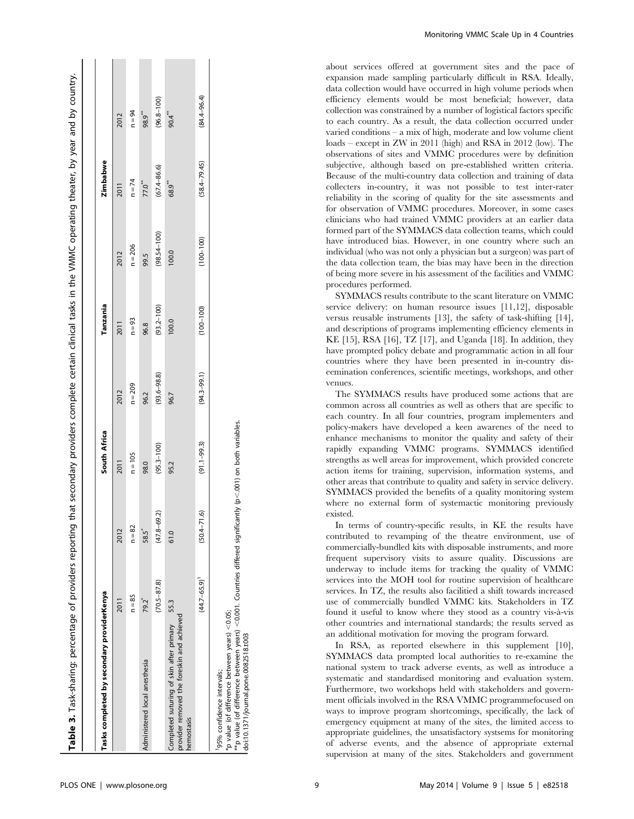| Tasks completed by secondary providerKenya                                                                                                                                                      |                   |                   | South Africa    |                 | Tanzania       |                 | <b>Zimbabwe</b>  |                 |
|-------------------------------------------------------------------------------------------------------------------------------------------------------------------------------------------------|-------------------|-------------------|-----------------|-----------------|----------------|-----------------|------------------|-----------------|
|                                                                                                                                                                                                 | 2011              | 2012              | 2011            | 2012            | 2011           | 2012            | 2011             | 2012            |
|                                                                                                                                                                                                 | $n = 85$          | $n = 82$          | $n = 105$       | $n = 209$       | $n = 93$       | $n = 206$       | $n = 74$         | $n = 94$        |
| Administered local anesthesia                                                                                                                                                                   | 79.2              | 58.5 <sup>*</sup> | 98.0            | 96.2            | 96.8           | 99.5            | 77.0**           | 98.9**          |
|                                                                                                                                                                                                 | $(70.5 - 87.8)$   | $(47.8 - 69.2)$   | $(95.3 - 100)$  | $(93.6 - 98.8)$ | $(93.2 - 100)$ | $(98.54 - 100)$ | $(67.4 - 86.6)$  | $(96.8 - 100)$  |
| provider removed the foreskin and achieved<br>Completed suturing of skin after primary<br>hemostasis                                                                                            | 55.3              | 61.0              | 95.2            | 96.7            | 100.0          | 100.0           | 68.9             | 90.4            |
|                                                                                                                                                                                                 | $(44.7 - 65.9)^T$ | $(50.4 - 71.6)$   | $(91.1 - 99.3)$ | $(94.3 - 99.1)$ | $(100 - 100)$  | $(100 - 100)$   | $(58.4 - 79.45)$ | $(84.4 - 96.4)$ |
| $^{**}$ p value (of difference between years) <0.001. Countries differed significantly (p<.001) on both variables.<br>p value (of difference between years) <0.05;<br>95% confidence intervals; |                   |                   |                 |                 |                |                 |                  |                 |

Monitoring VMMC Scale Up in 4 Countries

about services offered at government sites and the pace of expansion made sampling particularly difficult in RSA. Ideally, data collection would have occurred in high volume periods when efficiency elements would be most beneficial; however, data collection was constrained by a number of logistical factors specific to each country. As a result, the data collection occurred under varied conditions – a mix of high, moderate and low volume client loads – except in ZW in 2011 (high) and RSA in 2012 (low). The observations of sites and VMMC procedures were by definition subjective, although based on pre-established written criteria. Because of the multi-country data collection and training of data collecters in-country, it was not possible to test inter-rater reliability in the scoring of quality for the site assessments and for observation of VMMC procedures. Moreover, in some cases clinicians who had trained VMMC providers at an earlier data formed part of the SYMMACS data collection teams, which could have introduced bias. However, in one country where such an individual (who was not only a physician but a surgeon) was part of the data collection team, the bias may have been in the direction of being more severe in his assessment of the facilities and VMMC procedures performed.

SYMMACS results contribute to the scant literature on VMMC service delivery: on human resource issues [11,12], disposable versus reusable instruments [13], the safety of task-shifting [14], and descriptions of programs implementing efficiency elements in KE [15], RSA [16], TZ [17], and Uganda [18]. In addition, they have prompted policy debate and programmatic action in all four countries where they have been presented in in-country diseemination conferences, scientific meetings, workshops, and other venues.

The SYMMACS results have produced some actions that are common across all countries as well as others that are specific to each country. In all four countries, program implementers and policy-makers have developed a keen awarenes of the need to enhance mechanisms to monitor the quality and safety of their rapidly expanding VMMC programs. SYMMACS identified strengths as well areas for improvement, which provided concrete action items for training, supervision, information systems, and other areas that contribute to quality and safety in service delivery. SYMMACS provided the benefits of a quality monitoring system where no external form of systemactic monitoring previously existed.

In terms of country-specific results, in KE the results have contributed to revamping of the theatre environment, use of commercially-bundled kits with disposable instruments, and more frequent supervisory visits to assure quality. Discussions are underway to include items for tracking the quality of VMMC services into the MOH tool for routine supervision of healthcare services. In TZ, the results also facilitied a shift towards increased use of commercially bundled VMMC kits. Stakeholders in TZ found it useful to know where they stood as a country vis-à-vis other countries and international standards; the results served as an additional motivation for moving the program forward.

In RSA, as reported elsewhere in this supplement [10], SYMMACS data prompted local authorities to re-examine the national system to track adverse events, as well as introduce a systematic and standardised monitoring and evaluation system. Furthermore, two workshops held with stakeholders and government officials involved in the RSA VMMC programmefocused on ways to improve program shortcomings, specifically, the lack of emergency equipment at many of the sites, the limited access to appropriate guidelines, the unsatisfactory systsems for monitoring of adverse events, and the absence of appropriate external supervision at many of the sites. Stakeholders and government

doi:10.1371/journal.pone.0082518.t003

doi:10.1371/journal.pone.0082518.t003